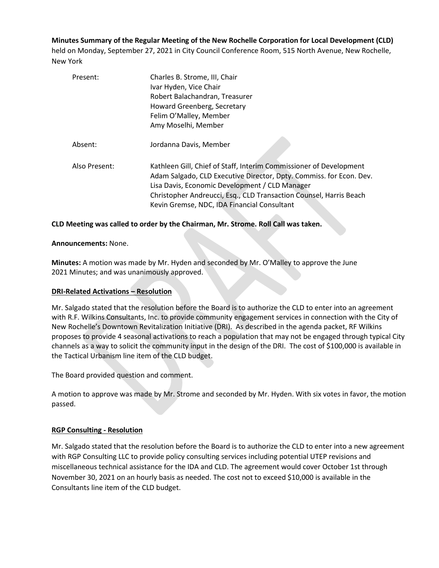**Minutes Summary of the Regular Meeting of the New Rochelle Corporation for Local Development (CLD)** held on Monday, September 27, 2021 in City Council Conference Room, 515 North Avenue, New Rochelle, New York

| Present:      | Charles B. Strome, III, Chair<br>Ivar Hyden, Vice Chair<br>Robert Balachandran, Treasurer<br>Howard Greenberg, Secretary<br>Felim O'Malley, Member<br>Amy Moselhi, Member                                                                                                                                        |
|---------------|------------------------------------------------------------------------------------------------------------------------------------------------------------------------------------------------------------------------------------------------------------------------------------------------------------------|
| Absent:       | Jordanna Davis, Member                                                                                                                                                                                                                                                                                           |
| Also Present: | Kathleen Gill, Chief of Staff, Interim Commissioner of Development<br>Adam Salgado, CLD Executive Director, Dpty. Commiss. for Econ. Dev.<br>Lisa Davis, Economic Development / CLD Manager<br>Christopher Andreucci, Esq., CLD Transaction Counsel, Harris Beach<br>Kevin Gremse, NDC, IDA Financial Consultant |

## **CLD Meeting was called to order by the Chairman, Mr. Strome. Roll Call was taken.**

### **Announcements:** None.

**Minutes:** A motion was made by Mr. Hyden and seconded by Mr. O'Malley to approve the June 2021 Minutes; and was unanimously approved.

### **DRI-Related Activations – Resolution**

Mr. Salgado stated that the resolution before the Board is to authorize the CLD to enter into an agreement with R.F. Wilkins Consultants, Inc. to provide community engagement services in connection with the City of New Rochelle's Downtown Revitalization Initiative (DRI). As described in the agenda packet, RF Wilkins proposes to provide 4 seasonal activations to reach a population that may not be engaged through typical City channels as a way to solicit the community input in the design of the DRI. The cost of \$100,000 is available in the Tactical Urbanism line item of the CLD budget.

The Board provided question and comment.

A motion to approve was made by Mr. Strome and seconded by Mr. Hyden. With six votes in favor, the motion passed.

### **RGP Consulting - Resolution**

Mr. Salgado stated that the resolution before the Board is to authorize the CLD to enter into a new agreement with RGP Consulting LLC to provide policy consulting services including potential UTEP revisions and miscellaneous technical assistance for the IDA and CLD. The agreement would cover October 1st through November 30, 2021 on an hourly basis as needed. The cost not to exceed \$10,000 is available in the Consultants line item of the CLD budget.